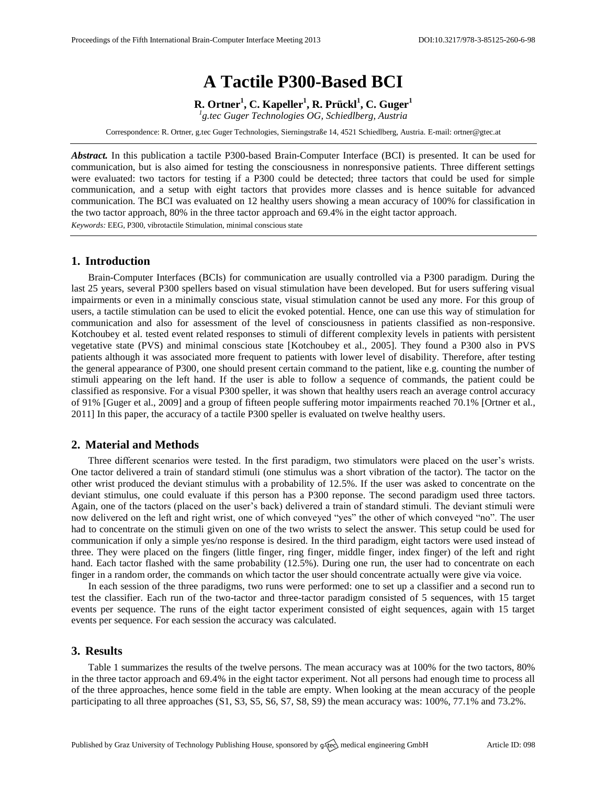# **A Tactile P300-Based BCI**

**R. Ortner<sup>1</sup> , C. Kapeller<sup>1</sup> , R. Prückl<sup>1</sup> , C. Guger<sup>1</sup>**

*1 g.tec Guger Technologies OG, Schiedlberg, Austria*

Correspondence: R. Ortner, g.tec Guger Technologies, Sierningstraße 14, 4521 Schiedlberg, Austria. E-mail[: ortner@gtec.at](mailto:ortner@gtec.at)

*Abstract.* In this publication a tactile P300-based Brain-Computer Interface (BCI) is presented. It can be used for communication, but is also aimed for testing the consciousness in nonresponsive patients. Three different settings were evaluated: two tactors for testing if a P300 could be detected; three tactors that could be used for simple communication, and a setup with eight tactors that provides more classes and is hence suitable for advanced communication. The BCI was evaluated on 12 healthy users showing a mean accuracy of 100% for classification in the two tactor approach, 80% in the three tactor approach and 69.4% in the eight tactor approach. *Keywords:* EEG, P300, vibrotactile Stimulation, minimal conscious state

## **1. Introduction**

Brain-Computer Interfaces (BCIs) for communication are usually controlled via a P300 paradigm. During the last 25 years, several P300 spellers based on visual stimulation have been developed. But for users suffering visual impairments or even in a minimally conscious state, visual stimulation cannot be used any more. For this group of users, a tactile stimulation can be used to elicit the evoked potential. Hence, one can use this way of stimulation for communication and also for assessment of the level of consciousness in patients classified as non-responsive. Kotchoubey et al. tested event related responses to stimuli of different complexity levels in patients with persistent vegetative state (PVS) and minimal conscious state [Kotchoubey et al., 2005]. They found a P300 also in PVS patients although it was associated more frequent to patients with lower level of disability. Therefore, after testing the general appearance of P300, one should present certain command to the patient, like e.g. counting the number of stimuli appearing on the left hand. If the user is able to follow a sequence of commands, the patient could be classified as responsive. For a visual P300 speller, it was shown that healthy users reach an average control accuracy of 91% [Guger et al., 2009] and a group of fifteen people suffering motor impairments reached 70.1% [Ortner et al., 2011] In this paper, the accuracy of a tactile P300 speller is evaluated on twelve healthy users.

### **2. Material and Methods**

Three different scenarios were tested. In the first paradigm, two stimulators were placed on the user's wrists. One tactor delivered a train of standard stimuli (one stimulus was a short vibration of the tactor). The tactor on the other wrist produced the deviant stimulus with a probability of 12.5%. If the user was asked to concentrate on the deviant stimulus, one could evaluate if this person has a P300 reponse. The second paradigm used three tactors. Again, one of the tactors (placed on the user's back) delivered a train of standard stimuli. The deviant stimuli were now delivered on the left and right wrist, one of which conveyed "yes" the other of which conveyed "no". The user had to concentrate on the stimuli given on one of the two wrists to select the answer. This setup could be used for communication if only a simple yes/no response is desired. In the third paradigm, eight tactors were used instead of three. They were placed on the fingers (little finger, ring finger, middle finger, index finger) of the left and right hand. Each tactor flashed with the same probability (12.5%). During one run, the user had to concentrate on each finger in a random order, the commands on which tactor the user should concentrate actually were give via voice.

In each session of the three paradigms, two runs were performed: one to set up a classifier and a second run to test the classifier. Each run of the two-tactor and three-tactor paradigm consisted of 5 sequences, with 15 target events per sequence. The runs of the eight tactor experiment consisted of eight sequences, again with 15 target events per sequence. For each session the accuracy was calculated.

#### **3. Results**

Table 1 summarizes the results of the twelve persons. The mean accuracy was at 100% for the two tactors, 80% in the three tactor approach and 69.4% in the eight tactor experiment. Not all persons had enough time to process all of the three approaches, hence some field in the table are empty. When looking at the mean accuracy of the people participating to all three approaches (S1, S3, S5, S6, S7, S8, S9) the mean accuracy was: 100%, 77.1% and 73.2%.